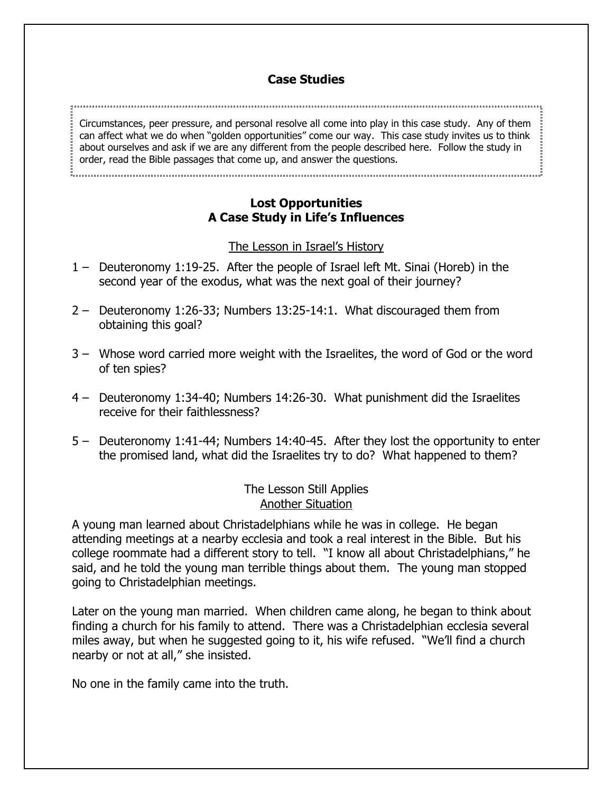# **Case Studies**

Circumstances, peer pressure, and personal resolve all come into play in this case study. Any of them can affect what we do when "golden opportunities" come our way. This case study invites us to think about ourselves and ask if we are any different from the people described here. Follow the study in order, read the Bible passages that come up, and answer the questions.

### **Lost Opportunities A Case Study in Life's Influences**

### The Lesson in Israel's History

- 1 Deuteronomy 1:19-25. After the people of Israel left Mt. Sinai (Horeb) in the second year of the exodus, what was the next goal of their journey?
- 2 Deuteronomy 1:26-33; Numbers 13:25-14:1. What discouraged them from obtaining this goal?
- 3 Whose word carried more weight with the Israelites, the word of God or the word of ten spies?
- 4 Deuteronomy 1:34-40; Numbers 14:26-30. What punishment did the Israelites receive for their faithlessness?
- 5 Deuteronomy 1:41-44; Numbers 14:40-45. After they lost the opportunity to enter the promised land, what did the Israelites try to do? What happened to them?

# The Lesson Still Applies Another Situation

A young man learned about Christadelphians while he was in college. He began attending meetings at a nearby ecclesia and took a real interest in the Bible. But his college roommate had a different story to tell. "I know all about Christadelphians," he said, and he told the young man terrible things about them. The young man stopped going to Christadelphian meetings.

Later on the young man married. When children came along, he began to think about finding a church for his family to attend. There was a Christadelphian ecclesia several miles away, but when he suggested going to it, his wife refused. "We'll find a church nearby or not at all," she insisted.

No one in the family came into the truth.